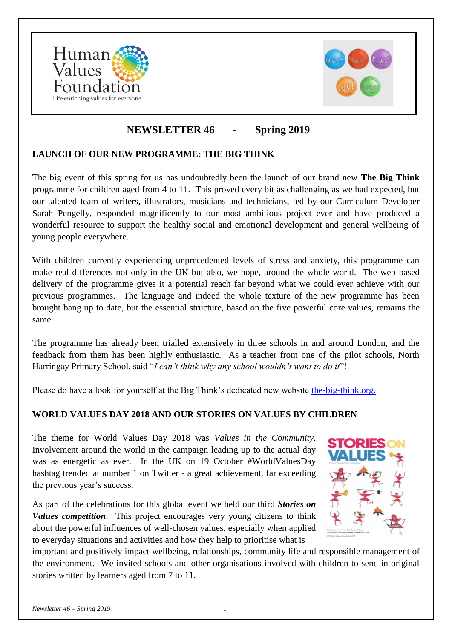



# **NEWSLETTER 46 - Spring 2019**

# **LAUNCH OF OUR NEW PROGRAMME: THE BIG THINK**

The big event of this spring for us has undoubtedly been the launch of our brand new **The Big Think**  programme for children aged from 4 to 11. This proved every bit as challenging as we had expected, but our talented team of writers, illustrators, musicians and technicians, led by our Curriculum Developer Sarah Pengelly, responded magnificently to our most ambitious project ever and have produced a wonderful resource to support the healthy social and emotional development and general wellbeing of young people everywhere.

With children currently experiencing unprecedented levels of stress and anxiety, this programme can make real differences not only in the UK but also, we hope, around the whole world. The web-based delivery of the programme gives it a potential reach far beyond what we could ever achieve with our previous programmes. The language and indeed the whole texture of the new programme has been brought bang up to date, but the essential structure, based on the five powerful core values, remains the same.

The programme has already been trialled extensively in three schools in and around London, and the feedback from them has been highly enthusiastic. As a teacher from one of the pilot schools, North Harringay Primary School, said "*I can't think why any school wouldn't want to do it*"!

Please do have a look for yourself at the Big Think's dedicated new website [the-big-think.org.](https://the-big-think.org/)

# **WORLD VALUES DAY 2018 AND OUR STORIES ON VALUES BY CHILDREN**

The theme for [World Values Day 2018](https://www.worldvaluesday.com/) was *Values in the Community*. Involvement around the world in the campaign leading up to the actual day was as energetic as ever. In the UK on 19 October #WorldValuesDay hashtag trended at number 1 on Twitter - a great achievement, far exceeding the previous year's success.

As part of the celebrations for this global event we held our third *Stories on Values competition*. This project encourages very young citizens to think about the powerful influences of well-chosen values, especially when applied to everyday situations and activities and how they help to prioritise what is



important and positively impact wellbeing, relationships, community life and responsible management of the environment. We invited schools and other organisations involved with children to send in original stories written by learners aged from 7 to 11.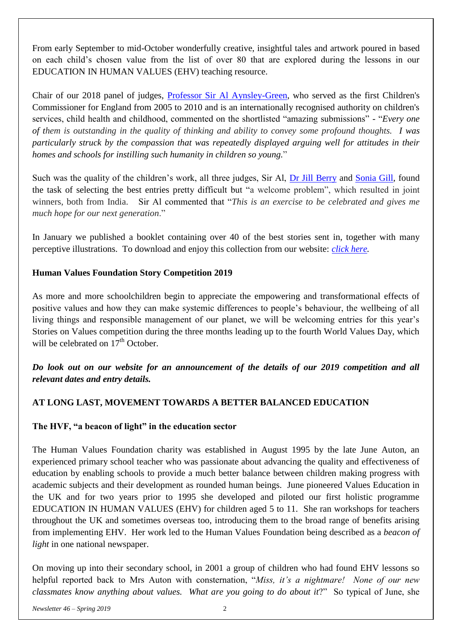From early September to mid-October wonderfully creative, insightful tales and artwork poured in based on each child's chosen value from the list of over 80 that are explored during the lessons in our EDUCATION IN HUMAN VALUES (EHV) teaching resource.

Chair of our 2018 panel of judges, [Professor Sir Al Aynsley-Green,](https://www.aynsley-green.com/) who served as the first Children's Commissioner for England from 2005 to 2010 and is an internationally recognised authority on children's services, child health and childhood, commented on the shortlisted "amazing submissions" - "*Every one of them is outstanding in the quality of thinking and ability to convey some profound thoughts. I was particularly struck by the compassion that was repeatedly displayed arguing well for attitudes in their homes and schools for instilling such humanity in children so young.*"

Such was the quality of the children's work, all three judges, Sir Al, [Dr Jill Berry](https://twitter.com/jillberry102) and [Sonia Gill,](https://ukheadsup.com/) found the task of selecting the best entries pretty difficult but "a welcome problem", which resulted in joint winners, both from India. Sir Al commented that "*This is an exercise to be celebrated and gives me much hope for our next generation*."

In January we published a booklet containing over 40 of the best stories sent in, together with many perceptive illustrations. To download and enjoy this collection from our website: *[click here.](http://www.humanvaluesfoundation.com/uploads/6/8/7/0/68703775/hvf-2018_stories_on_values_booklet.pdf)*

# **Human Values Foundation Story Competition 2019**

As more and more schoolchildren begin to appreciate the empowering and transformational effects of positive values and how they can make systemic differences to people's behaviour, the wellbeing of all living things and responsible management of our planet, we will be welcoming entries for this year's Stories on Values competition during the three months leading up to the fourth World Values Day, which will be celebrated on  $17<sup>th</sup>$  October.

*Do look out on our website for an announcement of the details of our 2019 competition and all relevant dates and entry details.*

# **AT LONG LAST, MOVEMENT TOWARDS A BETTER BALANCED EDUCATION**

# **The HVF, "a beacon of light" in the education sector**

The Human Values Foundation charity was established in August 1995 by the late June Auton, an experienced primary school teacher who was passionate about advancing the quality and effectiveness of education by enabling schools to provide a much better balance between children making progress with academic subjects and their development as rounded human beings. June pioneered Values Education in the UK and for two years prior to 1995 she developed and piloted our first holistic programme EDUCATION IN HUMAN VALUES (EHV) for children aged 5 to 11. She ran workshops for teachers throughout the UK and sometimes overseas too, introducing them to the broad range of benefits arising from implementing EHV. Her work led to the Human Values Foundation being described as a *beacon of light* in one national newspaper.

On moving up into their secondary school, in 2001 a group of children who had found EHV lessons so helpful reported back to Mrs Auton with consternation, "*Miss, it's a nightmare! None of our new classmates know anything about values. What are you going to do about it*?" So typical of June, she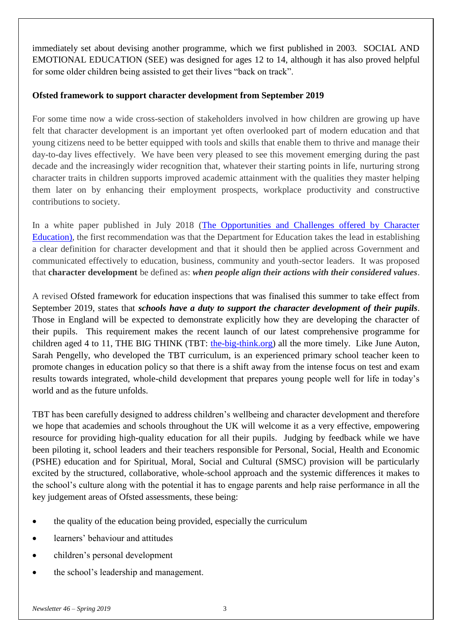immediately set about devising another programme, which we first published in 2003. SOCIAL AND EMOTIONAL EDUCATION (SEE) was designed for ages 12 to 14, although it has also proved helpful for some older children being assisted to get their lives "back on track".

### **Ofsted framework to support character development from September 2019**

For some time now a wide cross-section of stakeholders involved in how children are growing up have felt that character development is an important yet often overlooked part of modern education and that young citizens need to be better equipped with tools and skills that enable them to thrive and manage their day-to-day lives effectively. We have been very pleased to see this movement emerging during the past decade and the increasingly wider recognition that, whatever their starting points in life, nurturing strong character traits in children supports improved academic attainment with the qualities they master helping them later on by enhancing their employment prospects, workplace productivity and constructive contributions to society.

In a white paper published in July 2018 (The Opportunities and Challenges offered by Character [Education\)](https://www.damekellyholmestrust.org/Handlers/Download.ashx?IDMF=91b465e0-cf4c-45e3-978c-68952ce9c6aa), the first recommendation was that the Department for Education takes the lead in establishing a clear definition for character development and that it should then be applied across Government and communicated effectively to education, business, community and youth-sector leaders. It was proposed that **character development** be defined as: *when people align their actions with their considered values*.

A revised Ofsted framework for education inspections that was finalised this summer to take effect from September 2019, states that *schools have a duty to support the character development of their pupils*. Those in England will be expected to demonstrate explicitly how they are developing the character of their pupils. This requirement makes the recent launch of our latest comprehensive programme for children aged 4 to 11, THE BIG THINK (TBT: [the-big-think.org\)](http://the-big-think.org/) all the more timely. Like June Auton, Sarah Pengelly, who developed the TBT curriculum, is an experienced primary school teacher keen to promote changes in education policy so that there is a shift away from the intense focus on test and exam results towards integrated, whole-child development that prepares young people well for life in today's world and as the future unfolds.

TBT has been carefully designed to address children's wellbeing and character development and therefore we hope that academies and schools throughout the UK will welcome it as a very effective, empowering resource for providing high-quality education for all their pupils. Judging by feedback while we have been piloting it, school leaders and their teachers responsible for Personal, Social, Health and Economic (PSHE) education and for Spiritual, Moral, Social and Cultural (SMSC) provision will be particularly excited by the structured, collaborative, whole-school approach and the systemic differences it makes to the school's culture along with the potential it has to engage parents and help raise performance in all the key judgement areas of Ofsted assessments, these being:

- the quality of the education being provided, especially the curriculum
- learners' behaviour and attitudes
- children's personal development
- the school's leadership and management.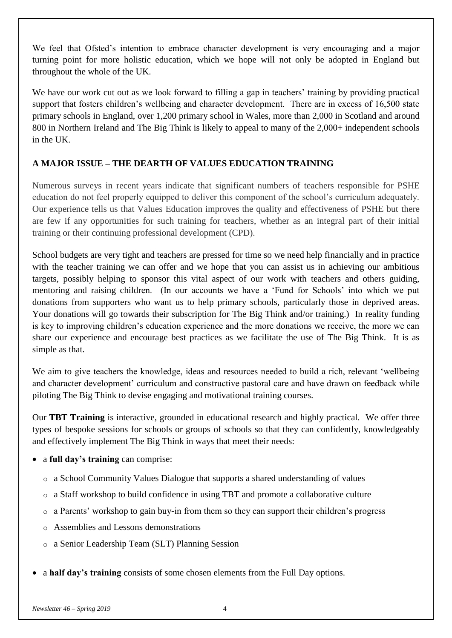We feel that Ofsted's intention to embrace character development is very encouraging and a major turning point for more holistic education, which we hope will not only be adopted in England but throughout the whole of the UK.

We have our work cut out as we look forward to filling a gap in teachers' training by providing practical support that fosters children's wellbeing and character development. There are in excess of 16,500 state primary schools in England, over 1,200 primary school in Wales, more than 2,000 in Scotland and around 800 in Northern Ireland and The Big Think is likely to appeal to many of the 2,000+ independent schools in the UK.

# **A MAJOR ISSUE – THE DEARTH OF VALUES EDUCATION TRAINING**

Numerous surveys in recent years indicate that significant numbers of teachers responsible for PSHE education do not feel properly equipped to deliver this component of the school's curriculum adequately. Our experience tells us that Values Education improves the quality and effectiveness of PSHE but there are few if any opportunities for such training for teachers, whether as an integral part of their initial training or their continuing professional development (CPD).

School budgets are very tight and teachers are pressed for time so we need help financially and in practice with the teacher training we can offer and we hope that you can assist us in achieving our ambitious targets, possibly helping to sponsor this vital aspect of our work with teachers and others guiding, mentoring and raising children. (In our accounts we have a 'Fund for Schools' into which we put donations from supporters who want us to help primary schools, particularly those in deprived areas. Your donations will go towards their subscription for The Big Think and/or training.) In reality funding is key to improving children's education experience and the more donations we receive, the more we can share our experience and encourage best practices as we facilitate the use of The Big Think. It is as simple as that.

We aim to give teachers the knowledge, ideas and resources needed to build a rich, relevant 'wellbeing and character development' curriculum and constructive pastoral care and have drawn on feedback while piloting The Big Think to devise engaging and motivational training courses.

Our **TBT Training** is interactive, grounded in educational research and highly practical. We offer three types of bespoke sessions for schools or groups of schools so that they can confidently, knowledgeably and effectively implement The Big Think in ways that meet their needs:

- a **full day's training** can comprise:
	- $\circ$  a School Community Values Dialogue that supports a shared understanding of values
	- o a Staff workshop to build confidence in using TBT and promote a collaborative culture
	- o a Parents' workshop to gain buy-in from them so they can support their children's progress
	- o Assemblies and Lessons demonstrations
	- o a Senior Leadership Team (SLT) Planning Session
- a **half day's training** consists of some chosen elements from the Full Day options.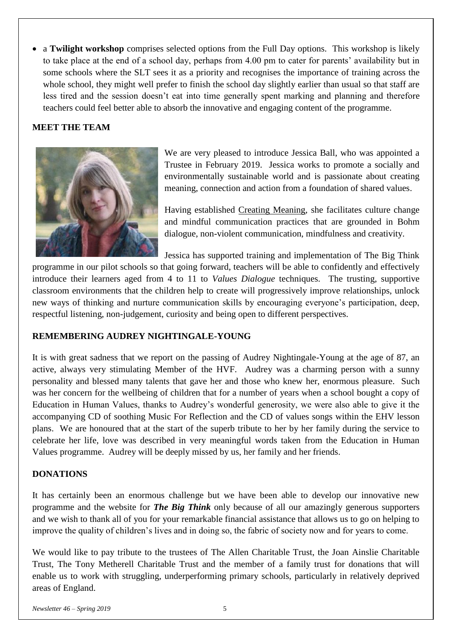a **Twilight workshop** comprises selected options from the Full Day options. This workshop is likely to take place at the end of a school day, perhaps from 4.00 pm to cater for parents' availability but in some schools where the SLT sees it as a priority and recognises the importance of training across the whole school, they might well prefer to finish the school day slightly earlier than usual so that staff are less tired and the session doesn't eat into time generally spent marking and planning and therefore teachers could feel better able to absorb the innovative and engaging content of the programme.

#### **MEET THE TEAM**



We are very pleased to introduce Jessica Ball, who was appointed a Trustee in February 2019. Jessica works to promote a socially and environmentally sustainable world and is passionate about creating meaning, connection and action from a foundation of shared values.

Having established [Creating Meaning,](http://www.creatingmeaning.club/) she facilitates culture change and mindful communication practices that are grounded in Bohm dialogue, non-violent communication, mindfulness and creativity.

Jessica has supported training and implementation of The Big Think

programme in our pilot schools so that going forward, teachers will be able to confidently and effectively introduce their learners aged from 4 to 11 to *Values Dialogue* techniques. The trusting, supportive classroom environments that the children help to create will progressively improve relationships, unlock new ways of thinking and nurture communication skills by encouraging everyone's participation, deep, respectful listening, non-judgement, curiosity and being open to different perspectives.

# **REMEMBERING AUDREY NIGHTINGALE-YOUNG**

It is with great sadness that we report on the passing of Audrey Nightingale-Young at the age of 87, an active, always very stimulating Member of the HVF. Audrey was a charming person with a sunny personality and blessed many talents that gave her and those who knew her, enormous pleasure. Such was her concern for the wellbeing of children that for a number of years when a school bought a copy of Education in Human Values, thanks to Audrey's wonderful generosity, we were also able to give it the accompanying CD of soothing Music For Reflection and the CD of values songs within the EHV lesson plans. We are honoured that at the start of the superb tribute to her by her family during the service to celebrate her life, love was described in very meaningful words taken from the Education in Human Values programme. Audrey will be deeply missed by us, her family and her friends.

# **DONATIONS**

It has certainly been an enormous challenge but we have been able to develop our innovative new programme and the website for *The Big Think* only because of all our amazingly generous supporters and we wish to thank all of you for your remarkable financial assistance that allows us to go on helping to improve the quality of children's lives and in doing so, the fabric of society now and for years to come.

We would like to pay tribute to the trustees of The Allen Charitable Trust, the Joan Ainslie Charitable Trust, The Tony Metherell Charitable Trust and the member of a family trust for donations that will enable us to work with struggling, underperforming primary schools, particularly in relatively deprived areas of England.